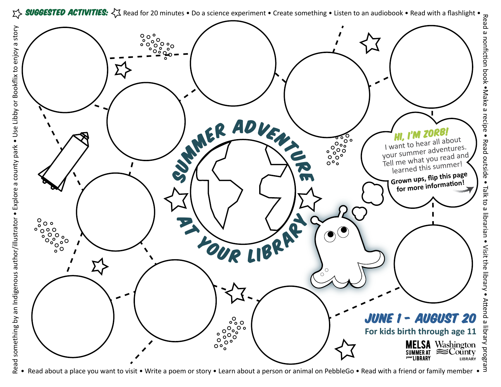

ea<br>D a

nonfic� on

b o ok

•Make

a

recip e •

R ead

outsid e

• P<br>N

to a

librarian

• Visit

the

library •

Attend

a

library

pro<br>B

gram



Read about a place you want to visit • Write a poem or story • Learn about a person or animal on PebbleGo • Read with a friend or family member •  $\frac{3}{5}$